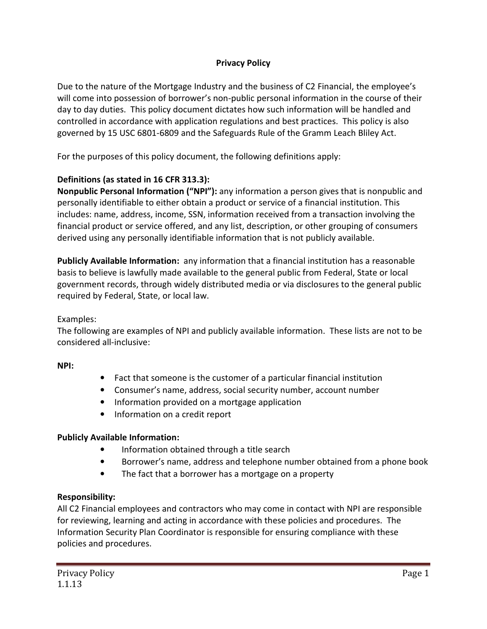## **Privacy Policy**

Due to the nature of the Mortgage Industry and the business of C2 Financial, the employee's will come into possession of borrower's non-public personal information in the course of their day to day duties. This policy document dictates how such information will be handled and controlled in accordance with application regulations and best practices. This policy is also governed by 15 USC 6801-6809 and the Safeguards Rule of the Gramm Leach Bliley Act.

For the purposes of this policy document, the following definitions apply:

## **Definitions (as stated in 16 CFR 313.3):**

**Nonpublic Personal Information ("NPI"):** any information a person gives that is nonpublic and personally identifiable to either obtain a product or service of a financial institution. This includes: name, address, income, SSN, information received from a transaction involving the financial product or service offered, and any list, description, or other grouping of consumers derived using any personally identifiable information that is not publicly available.

**Publicly Available Information:** any information that a financial institution has a reasonable basis to believe is lawfully made available to the general public from Federal, State or local government records, through widely distributed media or via disclosures to the general public required by Federal, State, or local law.

### Examples:

The following are examples of NPI and publicly available information. These lists are not to be considered all-inclusive:

### **NPI:**

- Fact that someone is the customer of a particular financial institution
- Consumer's name, address, social security number, account number
- Information provided on a mortgage application
- Information on a credit report

### **Publicly Available Information:**

- Information obtained through a title search
- Borrower's name, address and telephone number obtained from a phone book
- The fact that a borrower has a mortgage on a property

### **Responsibility:**

All C2 Financial employees and contractors who may come in contact with NPI are responsible for reviewing, learning and acting in accordance with these policies and procedures. The Information Security Plan Coordinator is responsible for ensuring compliance with these policies and procedures.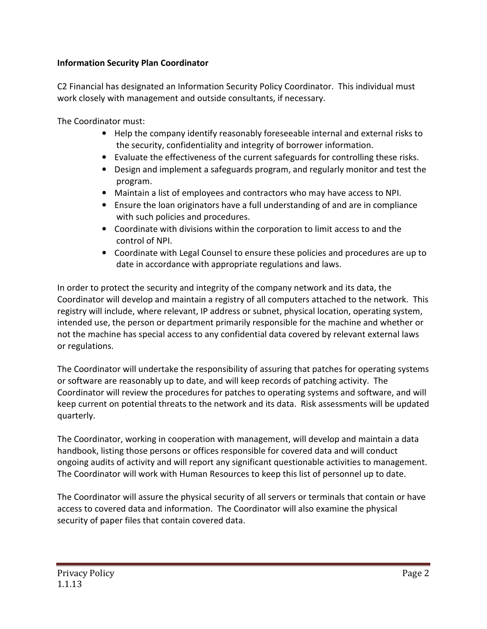## **Information Security Plan Coordinator**

C2 Financial has designated an Information Security Policy Coordinator. This individual must work closely with management and outside consultants, if necessary.

The Coordinator must:

- Help the company identify reasonably foreseeable internal and external risks to the security, confidentiality and integrity of borrower information.
- Evaluate the effectiveness of the current safeguards for controlling these risks.
- Design and implement a safeguards program, and regularly monitor and test the program.
- Maintain a list of employees and contractors who may have access to NPI.
- Ensure the loan originators have a full understanding of and are in compliance with such policies and procedures.
- Coordinate with divisions within the corporation to limit access to and the control of NPI.
- Coordinate with Legal Counsel to ensure these policies and procedures are up to date in accordance with appropriate regulations and laws.

In order to protect the security and integrity of the company network and its data, the Coordinator will develop and maintain a registry of all computers attached to the network. This registry will include, where relevant, IP address or subnet, physical location, operating system, intended use, the person or department primarily responsible for the machine and whether or not the machine has special access to any confidential data covered by relevant external laws or regulations.

The Coordinator will undertake the responsibility of assuring that patches for operating systems or software are reasonably up to date, and will keep records of patching activity. The Coordinator will review the procedures for patches to operating systems and software, and will keep current on potential threats to the network and its data. Risk assessments will be updated quarterly.

The Coordinator, working in cooperation with management, will develop and maintain a data handbook, listing those persons or offices responsible for covered data and will conduct ongoing audits of activity and will report any significant questionable activities to management. The Coordinator will work with Human Resources to keep this list of personnel up to date.

The Coordinator will assure the physical security of all servers or terminals that contain or have access to covered data and information. The Coordinator will also examine the physical security of paper files that contain covered data.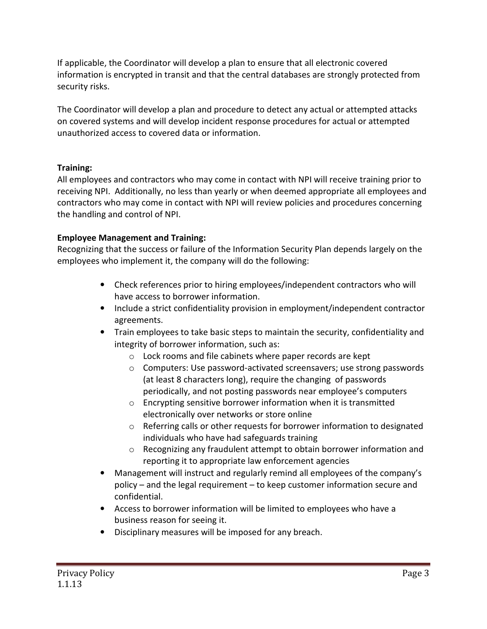If applicable, the Coordinator will develop a plan to ensure that all electronic covered information is encrypted in transit and that the central databases are strongly protected from security risks.

The Coordinator will develop a plan and procedure to detect any actual or attempted attacks on covered systems and will develop incident response procedures for actual or attempted unauthorized access to covered data or information.

# **Training:**

All employees and contractors who may come in contact with NPI will receive training prior to receiving NPI. Additionally, no less than yearly or when deemed appropriate all employees and contractors who may come in contact with NPI will review policies and procedures concerning the handling and control of NPI.

# **Employee Management and Training:**

Recognizing that the success or failure of the Information Security Plan depends largely on the employees who implement it, the company will do the following:

- Check references prior to hiring employees/independent contractors who will have access to borrower information.
- Include a strict confidentiality provision in employment/independent contractor agreements.
- Train employees to take basic steps to maintain the security, confidentiality and integrity of borrower information, such as:
	- o Lock rooms and file cabinets where paper records are kept
	- o Computers: Use password-activated screensavers; use strong passwords (at least 8 characters long), require the changing of passwords periodically, and not posting passwords near employee's computers
	- o Encrypting sensitive borrower information when it is transmitted electronically over networks or store online
	- o Referring calls or other requests for borrower information to designated individuals who have had safeguards training
	- o Recognizing any fraudulent attempt to obtain borrower information and reporting it to appropriate law enforcement agencies
- Management will instruct and regularly remind all employees of the company's policy – and the legal requirement – to keep customer information secure and confidential.
- Access to borrower information will be limited to employees who have a business reason for seeing it.
- Disciplinary measures will be imposed for any breach.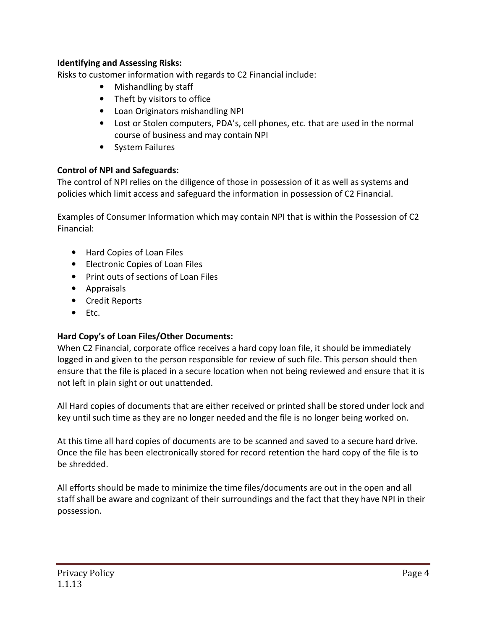### **Identifying and Assessing Risks:**

Risks to customer information with regards to C2 Financial include:

- Mishandling by staff
- Theft by visitors to office
- Loan Originators mishandling NPI
- Lost or Stolen computers, PDA's, cell phones, etc. that are used in the normal course of business and may contain NPI
- System Failures

## **Control of NPI and Safeguards:**

The control of NPI relies on the diligence of those in possession of it as well as systems and policies which limit access and safeguard the information in possession of C2 Financial.

Examples of Consumer Information which may contain NPI that is within the Possession of C2 Financial:

- Hard Copies of Loan Files
- Electronic Copies of Loan Files
- Print outs of sections of Loan Files
- Appraisals
- Credit Reports
- Etc.

# **Hard Copy's of Loan Files/Other Documents:**

When C2 Financial, corporate office receives a hard copy loan file, it should be immediately logged in and given to the person responsible for review of such file. This person should then ensure that the file is placed in a secure location when not being reviewed and ensure that it is not left in plain sight or out unattended.

All Hard copies of documents that are either received or printed shall be stored under lock and key until such time as they are no longer needed and the file is no longer being worked on.

At this time all hard copies of documents are to be scanned and saved to a secure hard drive. Once the file has been electronically stored for record retention the hard copy of the file is to be shredded.

All efforts should be made to minimize the time files/documents are out in the open and all staff shall be aware and cognizant of their surroundings and the fact that they have NPI in their possession.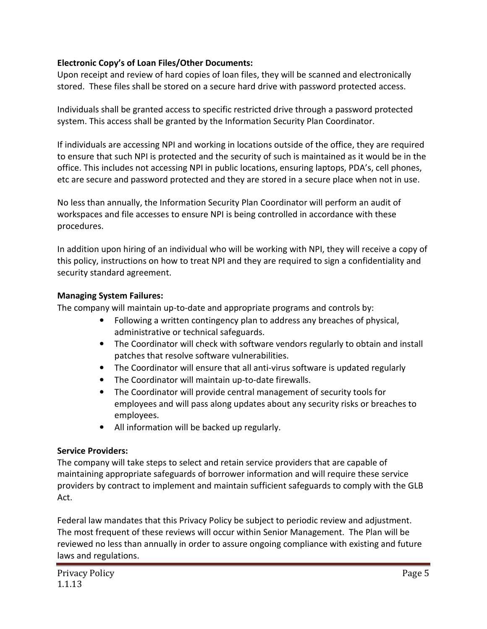## **Electronic Copy's of Loan Files/Other Documents:**

Upon receipt and review of hard copies of loan files, they will be scanned and electronically stored. These files shall be stored on a secure hard drive with password protected access.

Individuals shall be granted access to specific restricted drive through a password protected system. This access shall be granted by the Information Security Plan Coordinator.

If individuals are accessing NPI and working in locations outside of the office, they are required to ensure that such NPI is protected and the security of such is maintained as it would be in the office. This includes not accessing NPI in public locations, ensuring laptops, PDA's, cell phones, etc are secure and password protected and they are stored in a secure place when not in use.

No less than annually, the Information Security Plan Coordinator will perform an audit of workspaces and file accesses to ensure NPI is being controlled in accordance with these procedures.

In addition upon hiring of an individual who will be working with NPI, they will receive a copy of this policy, instructions on how to treat NPI and they are required to sign a confidentiality and security standard agreement.

### **Managing System Failures:**

The company will maintain up-to-date and appropriate programs and controls by:

- Following a written contingency plan to address any breaches of physical, administrative or technical safeguards.
- The Coordinator will check with software vendors regularly to obtain and install patches that resolve software vulnerabilities.
- The Coordinator will ensure that all anti-virus software is updated regularly
- The Coordinator will maintain up-to-date firewalls.
- The Coordinator will provide central management of security tools for employees and will pass along updates about any security risks or breaches to employees.
- All information will be backed up regularly.

### **Service Providers:**

The company will take steps to select and retain service providers that are capable of maintaining appropriate safeguards of borrower information and will require these service providers by contract to implement and maintain sufficient safeguards to comply with the GLB Act.

Federal law mandates that this Privacy Policy be subject to periodic review and adjustment. The most frequent of these reviews will occur within Senior Management. The Plan will be reviewed no less than annually in order to assure ongoing compliance with existing and future laws and regulations.